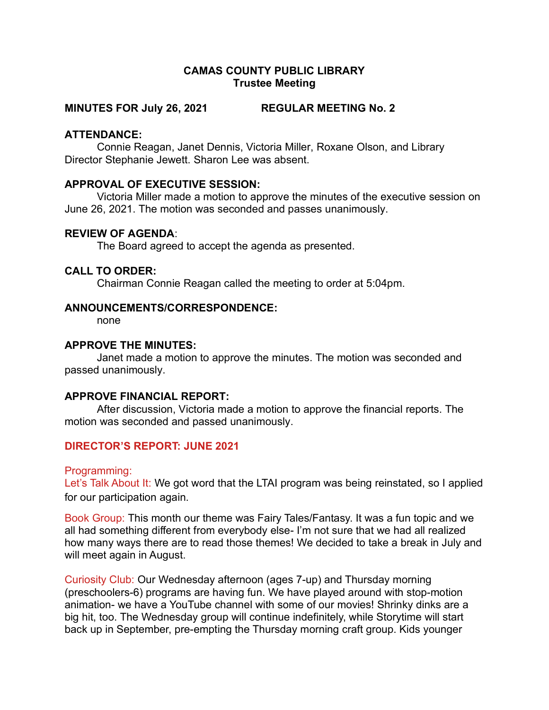## CAMAS COUNTY PUBLIC LIBRARY Trustee Meeting

## MINUTES FOR July 26, 2021 REGULAR MEETING No. 2

#### ATTENDANCE:

Connie Reagan, Janet Dennis, Victoria Miller, Roxane Olson, and Library Director Stephanie Jewett. Sharon Lee was absent.

#### APPROVAL OF EXECUTIVE SESSION:

Victoria Miller made a motion to approve the minutes of the executive session on June 26, 2021. The motion was seconded and passes unanimously.

## REVIEW OF AGENDA:

The Board agreed to accept the agenda as presented.

#### CALL TO ORDER:

Chairman Connie Reagan called the meeting to order at 5:04pm.

#### ANNOUNCEMENTS/CORRESPONDENCE:

none

## APPROVE THE MINUTES:

Janet made a motion to approve the minutes. The motion was seconded and passed unanimously.

#### APPROVE FINANCIAL REPORT:

After discussion, Victoria made a motion to approve the financial reports. The motion was seconded and passed unanimously.

## DIRECTOR'S REPORT: JUNE 2021

#### Programming:

Let's Talk About It: We got word that the LTAI program was being reinstated, so I applied for our participation again.

Book Group: This month our theme was Fairy Tales/Fantasy. It was a fun topic and we all had something different from everybody else- I'm not sure that we had all realized how many ways there are to read those themes! We decided to take a break in July and will meet again in August.

Curiosity Club: Our Wednesday afternoon (ages 7-up) and Thursday morning (preschoolers-6) programs are having fun. We have played around with stop-motion animation- we have a YouTube channel with some of our movies! Shrinky dinks are a big hit, too. The Wednesday group will continue indefinitely, while Storytime will start back up in September, pre-empting the Thursday morning craft group. Kids younger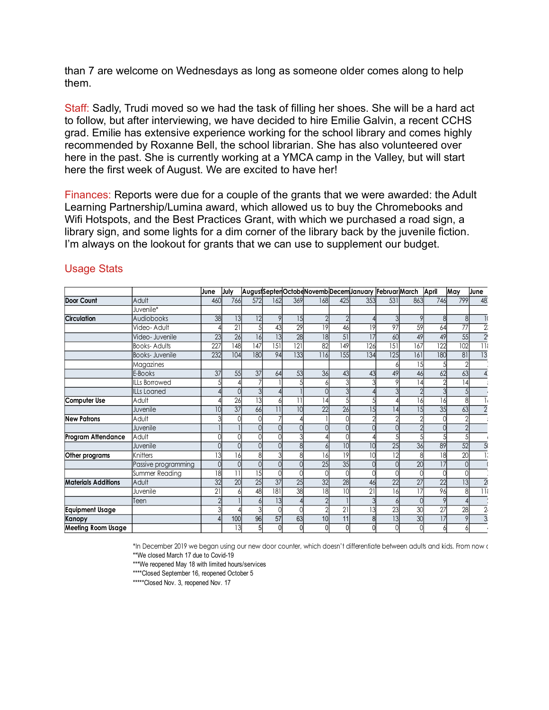than 7 are welcome on Wednesdays as long as someone older comes along to help them.

Staff: Sadly, Trudi moved so we had the task of filling her shoes. She will be a hard act to follow, but after interviewing, we have decided to hire Emilie Galvin, a recent CCHS grad. Emilie has extensive experience working for the school library and comes highly recommended by Roxanne Bell, the school librarian. She has also volunteered over here in the past. She is currently working at a YMCA camp in the Valley, but will start here the first week of August. We are excited to have her! than 7 are welcome on Wednesdays as long as someone older comes along to help<br>them.<br>
Starf: Sadly, Trudi moved so we had the task of filling her shoes. She will be a hard act<br>
to follow, but after interviewing, we have de

|                            | Staff: Sadly, Trudi moved so we had the task of filling her shoes. She will be a hard act<br>to follow, but after interviewing, we have decided to hire Emilie Galvin, a recent CCHS<br>grad. Emilie has extensive experience working for the school library and comes highly<br>recommended by Roxanne Bell, the school librarian. She has also volunteered over<br>here in the past. She is currently working at a YMCA camp in the Valley, but will start<br>here the first week of August. We are excited to have her!<br>Finances: Reports were due for a couple of the grants that we were awarded: the Adult |                  |                 |                      |     |                                                         |                 |     |     |                  |     |                  |                 |                         |
|----------------------------|---------------------------------------------------------------------------------------------------------------------------------------------------------------------------------------------------------------------------------------------------------------------------------------------------------------------------------------------------------------------------------------------------------------------------------------------------------------------------------------------------------------------------------------------------------------------------------------------------------------------|------------------|-----------------|----------------------|-----|---------------------------------------------------------|-----------------|-----|-----|------------------|-----|------------------|-----------------|-------------------------|
| <b>Usage Stats</b>         | Learning Partnership/Lumina award, which allowed us to buy the Chromebooks and<br>Wifi Hotspots, and the Best Practices Grant, with which we purchased a road sign, a<br>library sign, and some lights for a dim corner of the library back by the juvenile fiction.<br>I'm always on the lookout for grants that we can use to supplement our budget.                                                                                                                                                                                                                                                              |                  |                 |                      |     |                                                         |                 |     |     |                  |     |                  |                 |                         |
|                            |                                                                                                                                                                                                                                                                                                                                                                                                                                                                                                                                                                                                                     |                  |                 |                      |     | AugustSeptenOctobeNovembDecemJanuary FebruarMarch April |                 |     |     |                  |     |                  | May             | June                    |
| <b>Door Count</b>          | Adult                                                                                                                                                                                                                                                                                                                                                                                                                                                                                                                                                                                                               | June<br>460      | July<br>766     | 572                  | 162 | 369                                                     | 168             | 425 | 353 | 531              | 863 | 746              | 799             | 48                      |
|                            | Juvenile*                                                                                                                                                                                                                                                                                                                                                                                                                                                                                                                                                                                                           |                  |                 |                      |     |                                                         |                 |     |     |                  |     |                  |                 |                         |
|                            |                                                                                                                                                                                                                                                                                                                                                                                                                                                                                                                                                                                                                     |                  |                 |                      |     |                                                         |                 |     |     |                  |     |                  |                 |                         |
| Circulation                | Audiobooks                                                                                                                                                                                                                                                                                                                                                                                                                                                                                                                                                                                                          | 38               | 3               | 2 <br>$\overline{5}$ |     | 15                                                      |                 |     |     |                  |     |                  |                 |                         |
|                            | Video- Adult                                                                                                                                                                                                                                                                                                                                                                                                                                                                                                                                                                                                        |                  | $\overline{21}$ |                      | 43  | $\overline{29}$                                         | 19              | 46  | 19  | 97               | 59  | 64               | $\overline{77}$ | $\overline{2}$          |
|                            | Video- Juvenile                                                                                                                                                                                                                                                                                                                                                                                                                                                                                                                                                                                                     | 23               | 26              | 16                   | 13  | $\overline{28}$                                         | 8               | 51  | 17  | 60               | 49  | 49               | 55              | $\overline{2}$          |
|                            | Books-Adults                                                                                                                                                                                                                                                                                                                                                                                                                                                                                                                                                                                                        | $\overline{227}$ | 148             | 47                   | 15  | $\overline{121}$                                        | 82              | 149 | 126 | $\overline{151}$ | 167 | $\overline{122}$ | 102             | $\overline{\mathbb{R}}$ |
|                            | Books- Juvenile                                                                                                                                                                                                                                                                                                                                                                                                                                                                                                                                                                                                     | 232              | 104             | 180                  | 94  | 133                                                     | 116             | 155 | 134 | 125              | 161 | 180              | 81              | 13                      |
|                            | Magazines                                                                                                                                                                                                                                                                                                                                                                                                                                                                                                                                                                                                           |                  |                 |                      |     |                                                         |                 |     |     |                  | 15  |                  |                 |                         |
|                            | E-Books                                                                                                                                                                                                                                                                                                                                                                                                                                                                                                                                                                                                             | 37               | 55              | 37                   | 64  | 53                                                      | 36              | 43  | 43  | 49               | 46  | 62               | 63              |                         |
|                            | ILLs Borrowed                                                                                                                                                                                                                                                                                                                                                                                                                                                                                                                                                                                                       |                  |                 |                      |     |                                                         |                 |     |     |                  |     |                  |                 |                         |
|                            | <b>ILLs Loaned</b>                                                                                                                                                                                                                                                                                                                                                                                                                                                                                                                                                                                                  |                  |                 |                      |     |                                                         |                 |     |     |                  |     |                  |                 |                         |
| Computer Use               | Adult                                                                                                                                                                                                                                                                                                                                                                                                                                                                                                                                                                                                               |                  | 26              |                      |     |                                                         |                 |     |     |                  |     |                  |                 |                         |
|                            | Juvenile                                                                                                                                                                                                                                                                                                                                                                                                                                                                                                                                                                                                            |                  | $\overline{37}$ | 66                   |     |                                                         | 22              | 26  |     |                  |     | 35               | 63              |                         |
| <b>New Patrons</b>         | Adult                                                                                                                                                                                                                                                                                                                                                                                                                                                                                                                                                                                                               |                  |                 |                      |     |                                                         |                 |     |     |                  |     |                  |                 |                         |
|                            | Juvenile                                                                                                                                                                                                                                                                                                                                                                                                                                                                                                                                                                                                            |                  |                 |                      |     |                                                         |                 |     |     |                  |     |                  |                 |                         |
| Program Attendance         | Adult                                                                                                                                                                                                                                                                                                                                                                                                                                                                                                                                                                                                               |                  |                 |                      |     |                                                         |                 |     |     |                  |     |                  |                 |                         |
|                            | Juvenile                                                                                                                                                                                                                                                                                                                                                                                                                                                                                                                                                                                                            |                  |                 |                      |     |                                                         |                 | 10  | 10  | 25               | 36  | 89               | 52              |                         |
| Other programs             | Knitters                                                                                                                                                                                                                                                                                                                                                                                                                                                                                                                                                                                                            | 13               | 16              |                      |     |                                                         | 161             | 19  |     | 12               |     | 18               | 20              |                         |
|                            | Passive programming                                                                                                                                                                                                                                                                                                                                                                                                                                                                                                                                                                                                 |                  |                 |                      |     |                                                         | 25              | 35  |     |                  | 20  | 17               |                 |                         |
|                            | Summer Reading                                                                                                                                                                                                                                                                                                                                                                                                                                                                                                                                                                                                      | 18               | 11              | 15 <sup>1</sup>      |     |                                                         |                 |     |     |                  |     |                  |                 |                         |
| <b>Materials Additions</b> | Adult                                                                                                                                                                                                                                                                                                                                                                                                                                                                                                                                                                                                               | $\overline{32}$  | 20              | 25                   | 37  | 25                                                      | 32              | 28  | 46  | 22               | 27  | 22               | 13              |                         |
|                            | Juvenile                                                                                                                                                                                                                                                                                                                                                                                                                                                                                                                                                                                                            | 21               |                 | 48                   | 181 | 38                                                      | 18              | 10  | 21  | 16               | 17  | 96               | 8               | 11                      |
|                            | Teen                                                                                                                                                                                                                                                                                                                                                                                                                                                                                                                                                                                                                |                  |                 |                      | 13  |                                                         |                 |     |     |                  |     |                  |                 |                         |
|                            |                                                                                                                                                                                                                                                                                                                                                                                                                                                                                                                                                                                                                     |                  |                 |                      |     |                                                         |                 | 21  | 13  | 23               | 30  | 27               | 28              | $\overline{2}$          |
|                            |                                                                                                                                                                                                                                                                                                                                                                                                                                                                                                                                                                                                                     |                  | 100             | 96                   | 57  | 63                                                      | 10 <sup>1</sup> | 11  |     | 13               | 30  | 17               | 9               | $\overline{3}$          |
| Equipment Usage<br>Kanopy  |                                                                                                                                                                                                                                                                                                                                                                                                                                                                                                                                                                                                                     |                  |                 | 13                   |     |                                                         |                 |     |     |                  |     |                  |                 |                         |

## Usage Stats